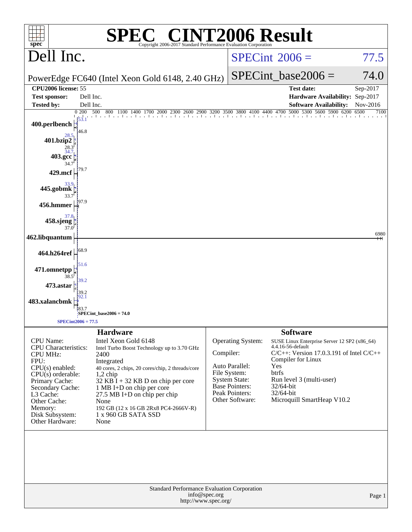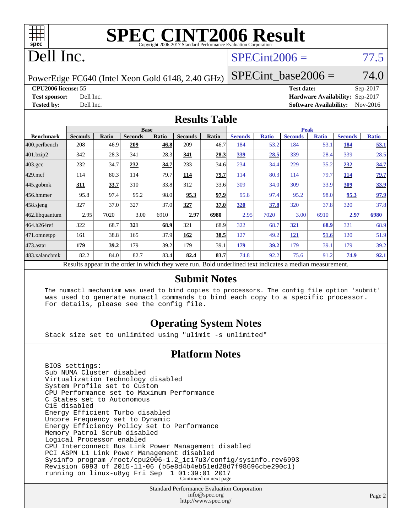

## Dell Inc.

### $SPECint2006 = 77.5$  $SPECint2006 = 77.5$

PowerEdge FC640 (Intel Xeon Gold 6148, 2.40 GHz)

 $SPECTnt\_base2006 = 74.0$ 

**[CPU2006 license:](http://www.spec.org/auto/cpu2006/Docs/result-fields.html#CPU2006license)** 55 **[Test date:](http://www.spec.org/auto/cpu2006/Docs/result-fields.html#Testdate)** Sep-2017

**[Test sponsor:](http://www.spec.org/auto/cpu2006/Docs/result-fields.html#Testsponsor)** Dell Inc. **[Hardware Availability:](http://www.spec.org/auto/cpu2006/Docs/result-fields.html#HardwareAvailability)** Sep-2017 **[Tested by:](http://www.spec.org/auto/cpu2006/Docs/result-fields.html#Testedby)** Dell Inc. **[Software Availability:](http://www.spec.org/auto/cpu2006/Docs/result-fields.html#SoftwareAvailability)** Nov-2016

#### **[Results Table](http://www.spec.org/auto/cpu2006/Docs/result-fields.html#ResultsTable)**

|                                                                                                          | <b>Base</b>    |       |                |       | <b>Peak</b>    |       |                |              |                |              |                |              |
|----------------------------------------------------------------------------------------------------------|----------------|-------|----------------|-------|----------------|-------|----------------|--------------|----------------|--------------|----------------|--------------|
| <b>Benchmark</b>                                                                                         | <b>Seconds</b> | Ratio | <b>Seconds</b> | Ratio | <b>Seconds</b> | Ratio | <b>Seconds</b> | <b>Ratio</b> | <b>Seconds</b> | <b>Ratio</b> | <b>Seconds</b> | <b>Ratio</b> |
| 400.perlbench                                                                                            | 208            | 46.9  | 209            | 46.8  | 209            | 46.7  | 184            | 53.2         | 184            | 53.1         | 184            | 53.1         |
| 401.bzip2                                                                                                | 342            | 28.3  | 341            | 28.3  | 341            | 28.3  | <u>339</u>     | 28.5         | 339            | 28.4         | 339            | 28.5         |
| $403.\text{gcc}$                                                                                         | 232            | 34.7  | 232            | 34.7  | 233            | 34.6  | 234            | 34.4         | 229            | 35.2         | 232            | 34.7         |
| $429$ .mcf                                                                                               | 114            | 80.3  | 114            | 79.7  | 114            | 79.7  | 114            | 80.3         | 114            | 79.7         | 114            | 79.7         |
| $445$ .gobmk                                                                                             | 311            | 33.7  | 310            | 33.8  | 312            | 33.6  | 309            | 34.0         | 309            | 33.9         | 309            | 33.9         |
| $456.$ hmmer                                                                                             | 95.8           | 97.4  | 95.2           | 98.0  | 95.3           | 97.9  | 95.8           | 97.4         | 95.2           | 98.0         | 95.3           | 97.9         |
| $458$ .sjeng                                                                                             | 327            | 37.0  | 327            | 37.0  | 327            | 37.0  | 320            | 37.8         | 320            | 37.8         | 320            | 37.8         |
| 462.libquantum                                                                                           | 2.95           | 7020  | 3.00           | 6910  | 2.97           | 6980  | 2.95           | 7020         | 3.00           | 6910         | 2.97           | 6980         |
| 464.h264ref                                                                                              | 322            | 68.7  | 321            | 68.9  | 321            | 68.9  | 322            | 68.7         | <u>321</u>     | 68.9         | 321            | 68.9         |
| $ 471$ .omnetpp                                                                                          | 161            | 38.8  | 165            | 37.9  | 162            | 38.5  | 127            | 49.2         | <u>121</u>     | 51.6         | 120            | 51.9         |
| $473$ . astar                                                                                            | 179            | 39.2  | 179            | 39.2  | 179            | 39.1  | 179            | 39.2         | 179            | 39.1         | 179            | 39.2         |
| 483.xalancbmk                                                                                            | 82.2           | 84.0  | 82.7           | 83.4  | 82.4           | 83.7  | 74.8           | 92.2         | 75.6           | 91.2         | 74.9           | 92.1         |
| Results appear in the order in which they were run. Bold underlined text indicates a median measurement. |                |       |                |       |                |       |                |              |                |              |                |              |

#### **[Submit Notes](http://www.spec.org/auto/cpu2006/Docs/result-fields.html#SubmitNotes)**

 The numactl mechanism was used to bind copies to processors. The config file option 'submit' was used to generate numactl commands to bind each copy to a specific processor. For details, please see the config file.

#### **[Operating System Notes](http://www.spec.org/auto/cpu2006/Docs/result-fields.html#OperatingSystemNotes)**

Stack size set to unlimited using "ulimit -s unlimited"

#### **[Platform Notes](http://www.spec.org/auto/cpu2006/Docs/result-fields.html#PlatformNotes)**

 BIOS settings: Sub NUMA Cluster disabled Virtualization Technology disabled System Profile set to Custom CPU Performance set to Maximum Performance C States set to Autonomous C1E disabled Energy Efficient Turbo disabled Uncore Frequency set to Dynamic Energy Efficiency Policy set to Performance Memory Patrol Scrub disabled Logical Processor enabled CPU Interconnect Bus Link Power Management disabled PCI ASPM L1 Link Power Management disabled Sysinfo program /root/cpu2006-1.2\_ic17u3/config/sysinfo.rev6993 Revision 6993 of 2015-11-06 (b5e8d4b4eb51ed28d7f98696cbe290c1) running on linux-u8yg Fri Sep 1 01:39:01 2017 Continued on next page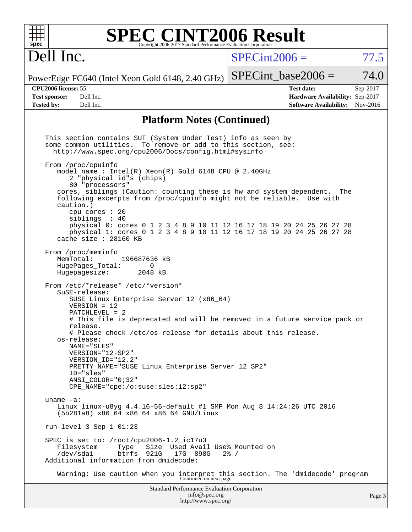| <b>SPEC CINT2006 Result</b><br>spec <sup>®</sup><br>Copyright 2006-2017 Standard Performance Evaluation Corporation                                                                                                                                                                                                                                                                                                                                                                                                                                                                                                                                                                                                                                                                                                                                                                                                  |                                                                                                               |       |
|----------------------------------------------------------------------------------------------------------------------------------------------------------------------------------------------------------------------------------------------------------------------------------------------------------------------------------------------------------------------------------------------------------------------------------------------------------------------------------------------------------------------------------------------------------------------------------------------------------------------------------------------------------------------------------------------------------------------------------------------------------------------------------------------------------------------------------------------------------------------------------------------------------------------|---------------------------------------------------------------------------------------------------------------|-------|
| Dell Inc.                                                                                                                                                                                                                                                                                                                                                                                                                                                                                                                                                                                                                                                                                                                                                                                                                                                                                                            | $SPECint2006 =$                                                                                               | 77.5  |
| PowerEdge FC640 (Intel Xeon Gold 6148, 2.40 GHz)                                                                                                                                                                                                                                                                                                                                                                                                                                                                                                                                                                                                                                                                                                                                                                                                                                                                     | $SPECint base2006 =$                                                                                          | 74.0  |
| <b>CPU2006</b> license: 55<br><b>Test sponsor:</b><br>Dell Inc.<br><b>Tested by:</b><br>Dell Inc.                                                                                                                                                                                                                                                                                                                                                                                                                                                                                                                                                                                                                                                                                                                                                                                                                    | <b>Test date:</b><br>Sep-2017<br>Hardware Availability: Sep-2017<br><b>Software Availability:</b><br>Nov-2016 |       |
| <b>Platform Notes (Continued)</b>                                                                                                                                                                                                                                                                                                                                                                                                                                                                                                                                                                                                                                                                                                                                                                                                                                                                                    |                                                                                                               |       |
| This section contains SUT (System Under Test) info as seen by<br>To remove or add to this section, see:<br>some common utilities.<br>http://www.spec.org/cpu2006/Docs/config.html#sysinfo<br>From /proc/cpuinfo<br>model name : Intel(R) Xeon(R) Gold 6148 CPU @ 2.40GHz<br>2 "physical id"s (chips)<br>80 "processors"<br>cores, siblings (Caution: counting these is hw and system dependent.<br>following excerpts from /proc/cpuinfo might not be reliable. Use with<br>caution.)<br>cpu cores $: 20$<br>siblings : 40<br>physical 0: cores 0 1 2 3 4 8 9 10 11 12 16 17 18 19 20 24 25 26 27 28<br>physical 1: cores 0 1 2 3 4 8 9 10 11 12 16 17 18 19 20 24 25 26 27 28<br>cache size $: 28160$ KB<br>From /proc/meminfo<br>196687636 kB<br>MemTotal:<br>HugePages_Total:<br>0<br>Hugepagesize:<br>2048 kB<br>From /etc/*release* /etc/*version*<br>SuSE-release:<br>SUSE Linux Enterprise Server 12 (x86_64) | The                                                                                                           |       |
| $VERSION = 12$<br>$PATCHLEVEL = 2$<br># This file is deprecated and will be removed in a future service pack or<br>release.<br># Please check /etc/os-release for details about this release.<br>os-release:<br>NAME="SLES"<br>VERSION="12-SP2"<br>VERSION_ID="12.2"<br>PRETTY NAME="SUSE Linux Enterprise Server 12 SP2"<br>ID="sles"<br>ANSI_COLOR="0;32"<br>$CPE\_NAME='cpe://o:suse: sles:12:sp2"$                                                                                                                                                                                                                                                                                                                                                                                                                                                                                                               |                                                                                                               |       |
| uname $-a$ :<br>Linux linux-u8yg $4.4.16 - 56 - \text{default} \#1$ SMP Mon Aug 8 14:24:26 UTC 2016<br>(5b281a8) x86_64 x86_64 x86_64 GNU/Linux                                                                                                                                                                                                                                                                                                                                                                                                                                                                                                                                                                                                                                                                                                                                                                      |                                                                                                               |       |
| run-level $3$ Sep $1$ 01:23                                                                                                                                                                                                                                                                                                                                                                                                                                                                                                                                                                                                                                                                                                                                                                                                                                                                                          |                                                                                                               |       |
| SPEC is set to: /root/cpu2006-1.2_ic17u3<br>Size Used Avail Use% Mounted on<br>Filesystem<br>Type<br>/dev/sda1<br>btrfs 921G<br>17G 898G<br>Additional information from dmidecode:                                                                                                                                                                                                                                                                                                                                                                                                                                                                                                                                                                                                                                                                                                                                   | $2\frac{8}{1}$ /                                                                                              |       |
| Warning: Use caution when you interpret this section. The 'dmidecode' program Continued on next page                                                                                                                                                                                                                                                                                                                                                                                                                                                                                                                                                                                                                                                                                                                                                                                                                 |                                                                                                               |       |
| Standard Performance Evaluation Corporation<br>info@spec.org<br>http://www.spec.org/                                                                                                                                                                                                                                                                                                                                                                                                                                                                                                                                                                                                                                                                                                                                                                                                                                 |                                                                                                               | Page: |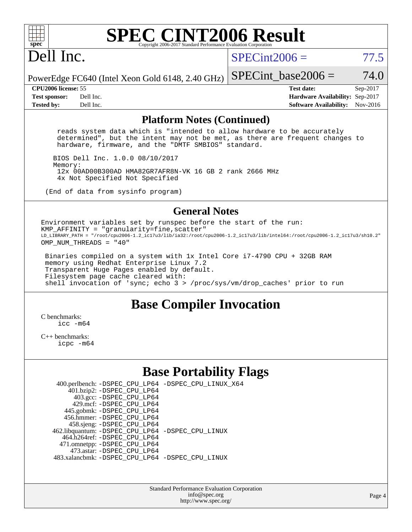

# Dell Inc.

 $SPECint2006 = 77.5$  $SPECint2006 = 77.5$ 

PowerEdge FC640 (Intel Xeon Gold 6148, 2.40 GHz) SPECint base2006 =  $74.0$ 

**[CPU2006 license:](http://www.spec.org/auto/cpu2006/Docs/result-fields.html#CPU2006license)** 55 **[Test date:](http://www.spec.org/auto/cpu2006/Docs/result-fields.html#Testdate)** Sep-2017 **[Test sponsor:](http://www.spec.org/auto/cpu2006/Docs/result-fields.html#Testsponsor)** Dell Inc. **[Hardware Availability:](http://www.spec.org/auto/cpu2006/Docs/result-fields.html#HardwareAvailability)** Sep-2017 **[Tested by:](http://www.spec.org/auto/cpu2006/Docs/result-fields.html#Testedby)** Dell Inc. **[Software Availability:](http://www.spec.org/auto/cpu2006/Docs/result-fields.html#SoftwareAvailability)** Nov-2016

#### **[Platform Notes \(Continued\)](http://www.spec.org/auto/cpu2006/Docs/result-fields.html#PlatformNotes)**

 reads system data which is "intended to allow hardware to be accurately determined", but the intent may not be met, as there are frequent changes to hardware, firmware, and the "DMTF SMBIOS" standard.

 BIOS Dell Inc. 1.0.0 08/10/2017 Memory: 12x 00AD00B300AD HMA82GR7AFR8N-VK 16 GB 2 rank 2666 MHz 4x Not Specified Not Specified

(End of data from sysinfo program)

#### **[General Notes](http://www.spec.org/auto/cpu2006/Docs/result-fields.html#GeneralNotes)**

Environment variables set by runspec before the start of the run:  $KMP_AFFINITY = "granularity=fine, scatter"$ LD\_LIBRARY\_PATH = "/root/cpu2006-1.2\_ic17u3/lib/ia32:/root/cpu2006-1.2\_ic17u3/lib/intel64:/root/cpu2006-1.2\_ic17u3/sh10.2" OMP NUM THREADS =  $"40"$ 

 Binaries compiled on a system with 1x Intel Core i7-4790 CPU + 32GB RAM memory using Redhat Enterprise Linux 7.2 Transparent Huge Pages enabled by default. Filesystem page cache cleared with: shell invocation of 'sync; echo 3 > /proc/sys/vm/drop\_caches' prior to run

### **[Base Compiler Invocation](http://www.spec.org/auto/cpu2006/Docs/result-fields.html#BaseCompilerInvocation)**

[C benchmarks](http://www.spec.org/auto/cpu2006/Docs/result-fields.html#Cbenchmarks):  $inc - m64$ 

[C++ benchmarks:](http://www.spec.org/auto/cpu2006/Docs/result-fields.html#CXXbenchmarks) [icpc -m64](http://www.spec.org/cpu2006/results/res2017q4/cpu2006-20170918-49854.flags.html#user_CXXbase_intel_icpc_64bit_fc66a5337ce925472a5c54ad6a0de310)

## **[Base Portability Flags](http://www.spec.org/auto/cpu2006/Docs/result-fields.html#BasePortabilityFlags)**

| 400.perlbench: -DSPEC_CPU_LP64 -DSPEC_CPU_LINUX_X64 |  |
|-----------------------------------------------------|--|
| 401.bzip2: -DSPEC_CPU_LP64                          |  |
| 403.gcc: -DSPEC_CPU_LP64                            |  |
| 429.mcf: -DSPEC CPU LP64                            |  |
| 445.gobmk: -DSPEC_CPU_LP64                          |  |
| 456.hmmer: - DSPEC CPU LP64                         |  |
| 458.sjeng: -DSPEC_CPU_LP64                          |  |
| 462.libquantum: -DSPEC_CPU_LP64 -DSPEC_CPU_LINUX    |  |
| 464.h264ref: -DSPEC CPU LP64                        |  |
| 471.omnetpp: -DSPEC_CPU_LP64                        |  |
| 473.astar: -DSPEC CPU LP64                          |  |
| 483.xalancbmk: - DSPEC CPU LP64 - DSPEC CPU LINUX   |  |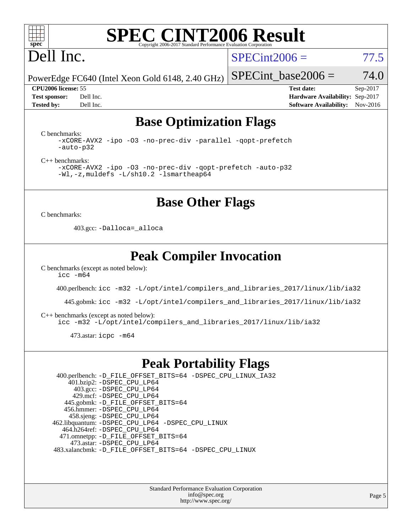

# Dell Inc.

 $SPECint2006 = 77.5$  $SPECint2006 = 77.5$ 

PowerEdge FC640 (Intel Xeon Gold 6148, 2.40 GHz)

**[CPU2006 license:](http://www.spec.org/auto/cpu2006/Docs/result-fields.html#CPU2006license)** 55 **[Test date:](http://www.spec.org/auto/cpu2006/Docs/result-fields.html#Testdate)** Sep-2017 **[Test sponsor:](http://www.spec.org/auto/cpu2006/Docs/result-fields.html#Testsponsor)** Dell Inc. **[Hardware Availability:](http://www.spec.org/auto/cpu2006/Docs/result-fields.html#HardwareAvailability)** Sep-2017 **[Tested by:](http://www.spec.org/auto/cpu2006/Docs/result-fields.html#Testedby)** Dell Inc. **[Software Availability:](http://www.spec.org/auto/cpu2006/Docs/result-fields.html#SoftwareAvailability)** Nov-2016

SPECint base2006 =  $74.0$ 

## **[Base Optimization Flags](http://www.spec.org/auto/cpu2006/Docs/result-fields.html#BaseOptimizationFlags)**

[C benchmarks](http://www.spec.org/auto/cpu2006/Docs/result-fields.html#Cbenchmarks):

[-xCORE-AVX2](http://www.spec.org/cpu2006/results/res2017q4/cpu2006-20170918-49854.flags.html#user_CCbase_f-xCORE-AVX2) [-ipo](http://www.spec.org/cpu2006/results/res2017q4/cpu2006-20170918-49854.flags.html#user_CCbase_f-ipo) [-O3](http://www.spec.org/cpu2006/results/res2017q4/cpu2006-20170918-49854.flags.html#user_CCbase_f-O3) [-no-prec-div](http://www.spec.org/cpu2006/results/res2017q4/cpu2006-20170918-49854.flags.html#user_CCbase_f-no-prec-div) [-parallel](http://www.spec.org/cpu2006/results/res2017q4/cpu2006-20170918-49854.flags.html#user_CCbase_f-parallel) [-qopt-prefetch](http://www.spec.org/cpu2006/results/res2017q4/cpu2006-20170918-49854.flags.html#user_CCbase_f-qopt-prefetch) [-auto-p32](http://www.spec.org/cpu2006/results/res2017q4/cpu2006-20170918-49854.flags.html#user_CCbase_f-auto-p32)

[C++ benchmarks:](http://www.spec.org/auto/cpu2006/Docs/result-fields.html#CXXbenchmarks)

[-xCORE-AVX2](http://www.spec.org/cpu2006/results/res2017q4/cpu2006-20170918-49854.flags.html#user_CXXbase_f-xCORE-AVX2) [-ipo](http://www.spec.org/cpu2006/results/res2017q4/cpu2006-20170918-49854.flags.html#user_CXXbase_f-ipo) [-O3](http://www.spec.org/cpu2006/results/res2017q4/cpu2006-20170918-49854.flags.html#user_CXXbase_f-O3) [-no-prec-div](http://www.spec.org/cpu2006/results/res2017q4/cpu2006-20170918-49854.flags.html#user_CXXbase_f-no-prec-div) [-qopt-prefetch](http://www.spec.org/cpu2006/results/res2017q4/cpu2006-20170918-49854.flags.html#user_CXXbase_f-qopt-prefetch) [-auto-p32](http://www.spec.org/cpu2006/results/res2017q4/cpu2006-20170918-49854.flags.html#user_CXXbase_f-auto-p32) [-Wl,-z,muldefs](http://www.spec.org/cpu2006/results/res2017q4/cpu2006-20170918-49854.flags.html#user_CXXbase_link_force_multiple1_74079c344b956b9658436fd1b6dd3a8a) [-L/sh10.2 -lsmartheap64](http://www.spec.org/cpu2006/results/res2017q4/cpu2006-20170918-49854.flags.html#user_CXXbase_SmartHeap64_63911d860fc08c15fa1d5bf319b9d8d5)

**[Base Other Flags](http://www.spec.org/auto/cpu2006/Docs/result-fields.html#BaseOtherFlags)**

[C benchmarks](http://www.spec.org/auto/cpu2006/Docs/result-fields.html#Cbenchmarks):

403.gcc: [-Dalloca=\\_alloca](http://www.spec.org/cpu2006/results/res2017q4/cpu2006-20170918-49854.flags.html#b403.gcc_baseEXTRA_CFLAGS_Dalloca_be3056838c12de2578596ca5467af7f3)

### **[Peak Compiler Invocation](http://www.spec.org/auto/cpu2006/Docs/result-fields.html#PeakCompilerInvocation)**

[C benchmarks \(except as noted below\)](http://www.spec.org/auto/cpu2006/Docs/result-fields.html#Cbenchmarksexceptasnotedbelow):  $\text{icc } -\text{m64}$ 

400.perlbench: [icc -m32 -L/opt/intel/compilers\\_and\\_libraries\\_2017/linux/lib/ia32](http://www.spec.org/cpu2006/results/res2017q4/cpu2006-20170918-49854.flags.html#user_peakCCLD400_perlbench_intel_icc_c29f3ff5a7ed067b11e4ec10a03f03ae)

445.gobmk: [icc -m32 -L/opt/intel/compilers\\_and\\_libraries\\_2017/linux/lib/ia32](http://www.spec.org/cpu2006/results/res2017q4/cpu2006-20170918-49854.flags.html#user_peakCCLD445_gobmk_intel_icc_c29f3ff5a7ed067b11e4ec10a03f03ae)

[C++ benchmarks \(except as noted below\):](http://www.spec.org/auto/cpu2006/Docs/result-fields.html#CXXbenchmarksexceptasnotedbelow)

[icc -m32 -L/opt/intel/compilers\\_and\\_libraries\\_2017/linux/lib/ia32](http://www.spec.org/cpu2006/results/res2017q4/cpu2006-20170918-49854.flags.html#user_CXXpeak_intel_icc_c29f3ff5a7ed067b11e4ec10a03f03ae)

473.astar: [icpc -m64](http://www.spec.org/cpu2006/results/res2017q4/cpu2006-20170918-49854.flags.html#user_peakCXXLD473_astar_intel_icpc_64bit_fc66a5337ce925472a5c54ad6a0de310)

#### **[Peak Portability Flags](http://www.spec.org/auto/cpu2006/Docs/result-fields.html#PeakPortabilityFlags)**

 400.perlbench: [-D\\_FILE\\_OFFSET\\_BITS=64](http://www.spec.org/cpu2006/results/res2017q4/cpu2006-20170918-49854.flags.html#user_peakPORTABILITY400_perlbench_file_offset_bits_64_438cf9856305ebd76870a2c6dc2689ab) [-DSPEC\\_CPU\\_LINUX\\_IA32](http://www.spec.org/cpu2006/results/res2017q4/cpu2006-20170918-49854.flags.html#b400.perlbench_peakCPORTABILITY_DSPEC_CPU_LINUX_IA32) 401.bzip2: [-DSPEC\\_CPU\\_LP64](http://www.spec.org/cpu2006/results/res2017q4/cpu2006-20170918-49854.flags.html#suite_peakPORTABILITY401_bzip2_DSPEC_CPU_LP64) 403.gcc: [-DSPEC\\_CPU\\_LP64](http://www.spec.org/cpu2006/results/res2017q4/cpu2006-20170918-49854.flags.html#suite_peakPORTABILITY403_gcc_DSPEC_CPU_LP64) 429.mcf: [-DSPEC\\_CPU\\_LP64](http://www.spec.org/cpu2006/results/res2017q4/cpu2006-20170918-49854.flags.html#suite_peakPORTABILITY429_mcf_DSPEC_CPU_LP64) 445.gobmk: [-D\\_FILE\\_OFFSET\\_BITS=64](http://www.spec.org/cpu2006/results/res2017q4/cpu2006-20170918-49854.flags.html#user_peakPORTABILITY445_gobmk_file_offset_bits_64_438cf9856305ebd76870a2c6dc2689ab) 456.hmmer: [-DSPEC\\_CPU\\_LP64](http://www.spec.org/cpu2006/results/res2017q4/cpu2006-20170918-49854.flags.html#suite_peakPORTABILITY456_hmmer_DSPEC_CPU_LP64) 458.sjeng: [-DSPEC\\_CPU\\_LP64](http://www.spec.org/cpu2006/results/res2017q4/cpu2006-20170918-49854.flags.html#suite_peakPORTABILITY458_sjeng_DSPEC_CPU_LP64) 462.libquantum: [-DSPEC\\_CPU\\_LP64](http://www.spec.org/cpu2006/results/res2017q4/cpu2006-20170918-49854.flags.html#suite_peakPORTABILITY462_libquantum_DSPEC_CPU_LP64) [-DSPEC\\_CPU\\_LINUX](http://www.spec.org/cpu2006/results/res2017q4/cpu2006-20170918-49854.flags.html#b462.libquantum_peakCPORTABILITY_DSPEC_CPU_LINUX) 464.h264ref: [-DSPEC\\_CPU\\_LP64](http://www.spec.org/cpu2006/results/res2017q4/cpu2006-20170918-49854.flags.html#suite_peakPORTABILITY464_h264ref_DSPEC_CPU_LP64) 471.omnetpp: [-D\\_FILE\\_OFFSET\\_BITS=64](http://www.spec.org/cpu2006/results/res2017q4/cpu2006-20170918-49854.flags.html#user_peakPORTABILITY471_omnetpp_file_offset_bits_64_438cf9856305ebd76870a2c6dc2689ab) 473.astar: [-DSPEC\\_CPU\\_LP64](http://www.spec.org/cpu2006/results/res2017q4/cpu2006-20170918-49854.flags.html#suite_peakPORTABILITY473_astar_DSPEC_CPU_LP64) 483.xalancbmk: [-D\\_FILE\\_OFFSET\\_BITS=64](http://www.spec.org/cpu2006/results/res2017q4/cpu2006-20170918-49854.flags.html#user_peakPORTABILITY483_xalancbmk_file_offset_bits_64_438cf9856305ebd76870a2c6dc2689ab) [-DSPEC\\_CPU\\_LINUX](http://www.spec.org/cpu2006/results/res2017q4/cpu2006-20170918-49854.flags.html#b483.xalancbmk_peakCXXPORTABILITY_DSPEC_CPU_LINUX)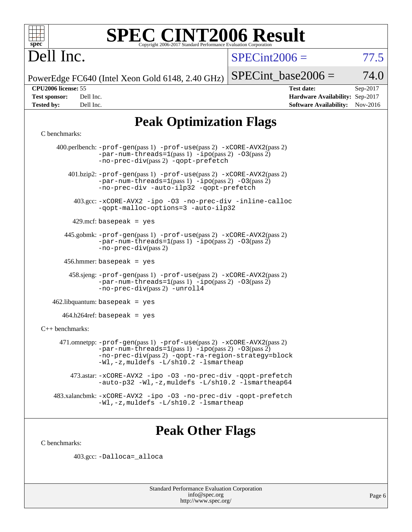

# Dell Inc.

 $SPECint2006 = 77.5$  $SPECint2006 = 77.5$ 

PowerEdge FC640 (Intel Xeon Gold 6148, 2.40 GHz)

SPECint base2006 =  $74.0$ 

**[CPU2006 license:](http://www.spec.org/auto/cpu2006/Docs/result-fields.html#CPU2006license)** 55 **[Test date:](http://www.spec.org/auto/cpu2006/Docs/result-fields.html#Testdate)** Sep-2017 **[Test sponsor:](http://www.spec.org/auto/cpu2006/Docs/result-fields.html#Testsponsor)** Dell Inc. **[Hardware Availability:](http://www.spec.org/auto/cpu2006/Docs/result-fields.html#HardwareAvailability)** Sep-2017 **[Tested by:](http://www.spec.org/auto/cpu2006/Docs/result-fields.html#Testedby)** Dell Inc. **[Software Availability:](http://www.spec.org/auto/cpu2006/Docs/result-fields.html#SoftwareAvailability)** Nov-2016

## **[Peak Optimization Flags](http://www.spec.org/auto/cpu2006/Docs/result-fields.html#PeakOptimizationFlags)**

#### [C benchmarks](http://www.spec.org/auto/cpu2006/Docs/result-fields.html#Cbenchmarks):

 400.perlbench: [-prof-gen](http://www.spec.org/cpu2006/results/res2017q4/cpu2006-20170918-49854.flags.html#user_peakPASS1_CFLAGSPASS1_LDCFLAGS400_perlbench_prof_gen_e43856698f6ca7b7e442dfd80e94a8fc)(pass 1) [-prof-use](http://www.spec.org/cpu2006/results/res2017q4/cpu2006-20170918-49854.flags.html#user_peakPASS2_CFLAGSPASS2_LDCFLAGS400_perlbench_prof_use_bccf7792157ff70d64e32fe3e1250b55)(pass 2) [-xCORE-AVX2](http://www.spec.org/cpu2006/results/res2017q4/cpu2006-20170918-49854.flags.html#user_peakPASS2_CFLAGSPASS2_LDCFLAGS400_perlbench_f-xCORE-AVX2)(pass 2)  $-par-num-threads=1(pass 1) -ipo(pass 2) -O3(pass 2)$  $-par-num-threads=1(pass 1) -ipo(pass 2) -O3(pass 2)$  $-par-num-threads=1(pass 1) -ipo(pass 2) -O3(pass 2)$  $-par-num-threads=1(pass 1) -ipo(pass 2) -O3(pass 2)$  $-par-num-threads=1(pass 1) -ipo(pass 2) -O3(pass 2)$  $-par-num-threads=1(pass 1) -ipo(pass 2) -O3(pass 2)$ [-no-prec-div](http://www.spec.org/cpu2006/results/res2017q4/cpu2006-20170918-49854.flags.html#user_peakPASS2_CFLAGSPASS2_LDCFLAGS400_perlbench_f-no-prec-div)(pass 2) [-qopt-prefetch](http://www.spec.org/cpu2006/results/res2017q4/cpu2006-20170918-49854.flags.html#user_peakCOPTIMIZE400_perlbench_f-qopt-prefetch) 401.bzip2: [-prof-gen](http://www.spec.org/cpu2006/results/res2017q4/cpu2006-20170918-49854.flags.html#user_peakPASS1_CFLAGSPASS1_LDCFLAGS401_bzip2_prof_gen_e43856698f6ca7b7e442dfd80e94a8fc)(pass 1) [-prof-use](http://www.spec.org/cpu2006/results/res2017q4/cpu2006-20170918-49854.flags.html#user_peakPASS2_CFLAGSPASS2_LDCFLAGS401_bzip2_prof_use_bccf7792157ff70d64e32fe3e1250b55)(pass 2) [-xCORE-AVX2](http://www.spec.org/cpu2006/results/res2017q4/cpu2006-20170918-49854.flags.html#user_peakPASS2_CFLAGSPASS2_LDCFLAGS401_bzip2_f-xCORE-AVX2)(pass 2) [-par-num-threads=1](http://www.spec.org/cpu2006/results/res2017q4/cpu2006-20170918-49854.flags.html#user_peakPASS1_CFLAGSPASS1_LDCFLAGS401_bzip2_par_num_threads_786a6ff141b4e9e90432e998842df6c2)(pass 1) [-ipo](http://www.spec.org/cpu2006/results/res2017q4/cpu2006-20170918-49854.flags.html#user_peakPASS2_CFLAGSPASS2_LDCFLAGS401_bzip2_f-ipo)(pass 2) [-O3](http://www.spec.org/cpu2006/results/res2017q4/cpu2006-20170918-49854.flags.html#user_peakPASS2_CFLAGSPASS2_LDCFLAGS401_bzip2_f-O3)(pass 2) [-no-prec-div](http://www.spec.org/cpu2006/results/res2017q4/cpu2006-20170918-49854.flags.html#user_peakCOPTIMIZEPASS2_CFLAGSPASS2_LDCFLAGS401_bzip2_f-no-prec-div) [-auto-ilp32](http://www.spec.org/cpu2006/results/res2017q4/cpu2006-20170918-49854.flags.html#user_peakCOPTIMIZE401_bzip2_f-auto-ilp32) [-qopt-prefetch](http://www.spec.org/cpu2006/results/res2017q4/cpu2006-20170918-49854.flags.html#user_peakCOPTIMIZE401_bzip2_f-qopt-prefetch) 403.gcc: [-xCORE-AVX2](http://www.spec.org/cpu2006/results/res2017q4/cpu2006-20170918-49854.flags.html#user_peakOPTIMIZE403_gcc_f-xCORE-AVX2) [-ipo](http://www.spec.org/cpu2006/results/res2017q4/cpu2006-20170918-49854.flags.html#user_peakOPTIMIZE403_gcc_f-ipo) [-O3](http://www.spec.org/cpu2006/results/res2017q4/cpu2006-20170918-49854.flags.html#user_peakOPTIMIZE403_gcc_f-O3) [-no-prec-div](http://www.spec.org/cpu2006/results/res2017q4/cpu2006-20170918-49854.flags.html#user_peakOPTIMIZE403_gcc_f-no-prec-div) [-inline-calloc](http://www.spec.org/cpu2006/results/res2017q4/cpu2006-20170918-49854.flags.html#user_peakCOPTIMIZE403_gcc_f-inline-calloc) [-qopt-malloc-options=3](http://www.spec.org/cpu2006/results/res2017q4/cpu2006-20170918-49854.flags.html#user_peakCOPTIMIZE403_gcc_f-qopt-malloc-options_0fcb435012e78f27d57f473818e45fe4) [-auto-ilp32](http://www.spec.org/cpu2006/results/res2017q4/cpu2006-20170918-49854.flags.html#user_peakCOPTIMIZE403_gcc_f-auto-ilp32)  $429$ .mcf: basepeak = yes 445.gobmk: [-prof-gen](http://www.spec.org/cpu2006/results/res2017q4/cpu2006-20170918-49854.flags.html#user_peakPASS1_CFLAGSPASS1_LDCFLAGS445_gobmk_prof_gen_e43856698f6ca7b7e442dfd80e94a8fc)(pass 1) [-prof-use](http://www.spec.org/cpu2006/results/res2017q4/cpu2006-20170918-49854.flags.html#user_peakPASS2_CFLAGSPASS2_LDCFLAGS445_gobmk_prof_use_bccf7792157ff70d64e32fe3e1250b55)(pass 2) [-xCORE-AVX2](http://www.spec.org/cpu2006/results/res2017q4/cpu2006-20170918-49854.flags.html#user_peakPASS2_CFLAGSPASS2_LDCFLAGS445_gobmk_f-xCORE-AVX2)(pass 2)  $-par-num-threads=1(pass 1) -ipo(pass 2) -O3(pass 2)$  $-par-num-threads=1(pass 1) -ipo(pass 2) -O3(pass 2)$  $-par-num-threads=1(pass 1) -ipo(pass 2) -O3(pass 2)$  $-par-num-threads=1(pass 1) -ipo(pass 2) -O3(pass 2)$  $-par-num-threads=1(pass 1) -ipo(pass 2) -O3(pass 2)$  $-par-num-threads=1(pass 1) -ipo(pass 2) -O3(pass 2)$ [-no-prec-div](http://www.spec.org/cpu2006/results/res2017q4/cpu2006-20170918-49854.flags.html#user_peakPASS2_CFLAGSPASS2_LDCFLAGS445_gobmk_f-no-prec-div)(pass 2) 456.hmmer: basepeak = yes 458.sjeng: [-prof-gen](http://www.spec.org/cpu2006/results/res2017q4/cpu2006-20170918-49854.flags.html#user_peakPASS1_CFLAGSPASS1_LDCFLAGS458_sjeng_prof_gen_e43856698f6ca7b7e442dfd80e94a8fc)(pass 1) [-prof-use](http://www.spec.org/cpu2006/results/res2017q4/cpu2006-20170918-49854.flags.html#user_peakPASS2_CFLAGSPASS2_LDCFLAGS458_sjeng_prof_use_bccf7792157ff70d64e32fe3e1250b55)(pass 2) [-xCORE-AVX2](http://www.spec.org/cpu2006/results/res2017q4/cpu2006-20170918-49854.flags.html#user_peakPASS2_CFLAGSPASS2_LDCFLAGS458_sjeng_f-xCORE-AVX2)(pass 2)  $-par-num-threads=1(pass 1) -ipo(pass 2) -O3(pass 2)$  $-par-num-threads=1(pass 1) -ipo(pass 2) -O3(pass 2)$  $-par-num-threads=1(pass 1) -ipo(pass 2) -O3(pass 2)$  $-par-num-threads=1(pass 1) -ipo(pass 2) -O3(pass 2)$  $-par-num-threads=1(pass 1) -ipo(pass 2) -O3(pass 2)$  $-par-num-threads=1(pass 1) -ipo(pass 2) -O3(pass 2)$ [-no-prec-div](http://www.spec.org/cpu2006/results/res2017q4/cpu2006-20170918-49854.flags.html#user_peakPASS2_CFLAGSPASS2_LDCFLAGS458_sjeng_f-no-prec-div)(pass 2) [-unroll4](http://www.spec.org/cpu2006/results/res2017q4/cpu2006-20170918-49854.flags.html#user_peakCOPTIMIZE458_sjeng_f-unroll_4e5e4ed65b7fd20bdcd365bec371b81f) 462.libquantum: basepeak = yes  $464.h264$ ref: basepeak = yes [C++ benchmarks:](http://www.spec.org/auto/cpu2006/Docs/result-fields.html#CXXbenchmarks) 471.omnetpp: [-prof-gen](http://www.spec.org/cpu2006/results/res2017q4/cpu2006-20170918-49854.flags.html#user_peakPASS1_CXXFLAGSPASS1_LDCXXFLAGS471_omnetpp_prof_gen_e43856698f6ca7b7e442dfd80e94a8fc)(pass 1) [-prof-use](http://www.spec.org/cpu2006/results/res2017q4/cpu2006-20170918-49854.flags.html#user_peakPASS2_CXXFLAGSPASS2_LDCXXFLAGS471_omnetpp_prof_use_bccf7792157ff70d64e32fe3e1250b55)(pass 2) [-xCORE-AVX2](http://www.spec.org/cpu2006/results/res2017q4/cpu2006-20170918-49854.flags.html#user_peakPASS2_CXXFLAGSPASS2_LDCXXFLAGS471_omnetpp_f-xCORE-AVX2)(pass 2)  $-$ par-num-threads=1(pass 1)  $-$ ipo(pass 2)  $-$ O3(pass 2) [-no-prec-div](http://www.spec.org/cpu2006/results/res2017q4/cpu2006-20170918-49854.flags.html#user_peakPASS2_CXXFLAGSPASS2_LDCXXFLAGS471_omnetpp_f-no-prec-div)(pass 2) [-qopt-ra-region-strategy=block](http://www.spec.org/cpu2006/results/res2017q4/cpu2006-20170918-49854.flags.html#user_peakCXXOPTIMIZE471_omnetpp_f-qopt-ra-region-strategy_0f7b543d62da454b380160c0e3b28f94) [-Wl,-z,muldefs](http://www.spec.org/cpu2006/results/res2017q4/cpu2006-20170918-49854.flags.html#user_peakEXTRA_LDFLAGS471_omnetpp_link_force_multiple1_74079c344b956b9658436fd1b6dd3a8a) [-L/sh10.2 -lsmartheap](http://www.spec.org/cpu2006/results/res2017q4/cpu2006-20170918-49854.flags.html#user_peakEXTRA_LIBS471_omnetpp_SmartHeap_b831f2d313e2fffa6dfe3f00ffc1f1c0) 473.astar: [-xCORE-AVX2](http://www.spec.org/cpu2006/results/res2017q4/cpu2006-20170918-49854.flags.html#user_peakOPTIMIZE473_astar_f-xCORE-AVX2) [-ipo](http://www.spec.org/cpu2006/results/res2017q4/cpu2006-20170918-49854.flags.html#user_peakOPTIMIZE473_astar_f-ipo) [-O3](http://www.spec.org/cpu2006/results/res2017q4/cpu2006-20170918-49854.flags.html#user_peakOPTIMIZE473_astar_f-O3) [-no-prec-div](http://www.spec.org/cpu2006/results/res2017q4/cpu2006-20170918-49854.flags.html#user_peakOPTIMIZE473_astar_f-no-prec-div) [-qopt-prefetch](http://www.spec.org/cpu2006/results/res2017q4/cpu2006-20170918-49854.flags.html#user_peakCXXOPTIMIZE473_astar_f-qopt-prefetch) [-auto-p32](http://www.spec.org/cpu2006/results/res2017q4/cpu2006-20170918-49854.flags.html#user_peakCXXOPTIMIZE473_astar_f-auto-p32) [-Wl,-z,muldefs](http://www.spec.org/cpu2006/results/res2017q4/cpu2006-20170918-49854.flags.html#user_peakEXTRA_LDFLAGS473_astar_link_force_multiple1_74079c344b956b9658436fd1b6dd3a8a) [-L/sh10.2 -lsmartheap64](http://www.spec.org/cpu2006/results/res2017q4/cpu2006-20170918-49854.flags.html#user_peakEXTRA_LIBS473_astar_SmartHeap64_63911d860fc08c15fa1d5bf319b9d8d5) 483.xalancbmk: [-xCORE-AVX2](http://www.spec.org/cpu2006/results/res2017q4/cpu2006-20170918-49854.flags.html#user_peakOPTIMIZE483_xalancbmk_f-xCORE-AVX2) [-ipo](http://www.spec.org/cpu2006/results/res2017q4/cpu2006-20170918-49854.flags.html#user_peakOPTIMIZE483_xalancbmk_f-ipo) [-O3](http://www.spec.org/cpu2006/results/res2017q4/cpu2006-20170918-49854.flags.html#user_peakOPTIMIZE483_xalancbmk_f-O3) [-no-prec-div](http://www.spec.org/cpu2006/results/res2017q4/cpu2006-20170918-49854.flags.html#user_peakOPTIMIZE483_xalancbmk_f-no-prec-div) [-qopt-prefetch](http://www.spec.org/cpu2006/results/res2017q4/cpu2006-20170918-49854.flags.html#user_peakCXXOPTIMIZE483_xalancbmk_f-qopt-prefetch) [-Wl,-z,muldefs](http://www.spec.org/cpu2006/results/res2017q4/cpu2006-20170918-49854.flags.html#user_peakEXTRA_LDFLAGS483_xalancbmk_link_force_multiple1_74079c344b956b9658436fd1b6dd3a8a) [-L/sh10.2 -lsmartheap](http://www.spec.org/cpu2006/results/res2017q4/cpu2006-20170918-49854.flags.html#user_peakEXTRA_LIBS483_xalancbmk_SmartHeap_b831f2d313e2fffa6dfe3f00ffc1f1c0)

## **[Peak Other Flags](http://www.spec.org/auto/cpu2006/Docs/result-fields.html#PeakOtherFlags)**

[C benchmarks](http://www.spec.org/auto/cpu2006/Docs/result-fields.html#Cbenchmarks):

403.gcc: [-Dalloca=\\_alloca](http://www.spec.org/cpu2006/results/res2017q4/cpu2006-20170918-49854.flags.html#b403.gcc_peakEXTRA_CFLAGS_Dalloca_be3056838c12de2578596ca5467af7f3)